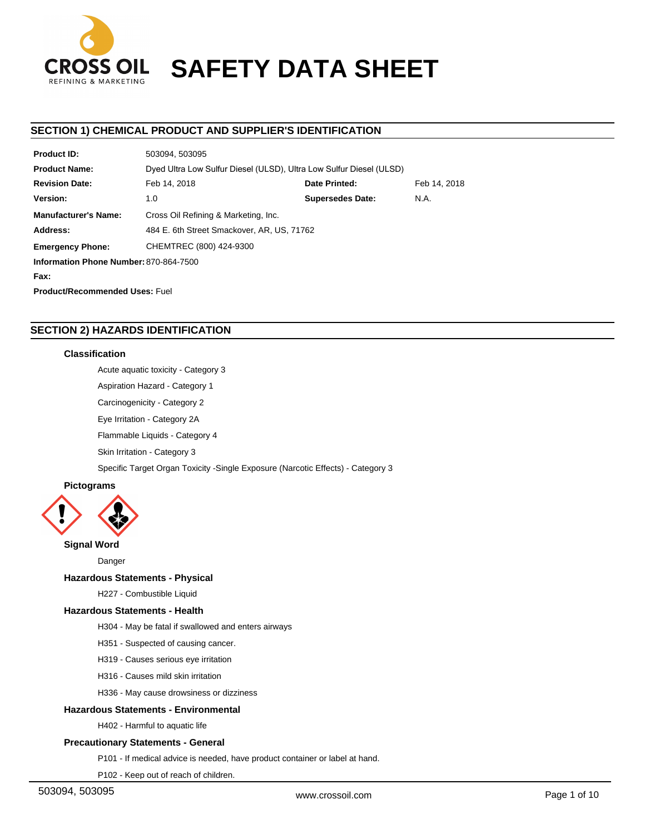

# **CROSS OIL SAFETY DATA SHEET**

# **SECTION 1) CHEMICAL PRODUCT AND SUPPLIER'S IDENTIFICATION**

| <b>Product ID:</b>                     | 503094, 503095                                                      |  |  |  |  |
|----------------------------------------|---------------------------------------------------------------------|--|--|--|--|
| <b>Product Name:</b>                   | Dyed Ultra Low Sulfur Diesel (ULSD), Ultra Low Sulfur Diesel (ULSD) |  |  |  |  |
| <b>Revision Date:</b>                  | Date Printed:<br>Feb 14, 2018<br>Feb 14, 2018                       |  |  |  |  |
| Version:                               | <b>Supersedes Date:</b><br>N.A.<br>1.0                              |  |  |  |  |
| <b>Manufacturer's Name:</b>            | Cross Oil Refining & Marketing, Inc.                                |  |  |  |  |
| Address:                               | 484 E. 6th Street Smackover, AR, US, 71762                          |  |  |  |  |
| <b>Emergency Phone:</b>                | CHEMTREC (800) 424-9300                                             |  |  |  |  |
| Information Phone Number: 870-864-7500 |                                                                     |  |  |  |  |
| Fax:                                   |                                                                     |  |  |  |  |
| <b>Product/Recommended Uses: Fuel</b>  |                                                                     |  |  |  |  |

# **SECTION 2) HAZARDS IDENTIFICATION**

# **Classification**

Acute aquatic toxicity - Category 3

Aspiration Hazard - Category 1

Carcinogenicity - Category 2

Eye Irritation - Category 2A

Flammable Liquids - Category 4

Skin Irritation - Category 3

Specific Target Organ Toxicity -Single Exposure (Narcotic Effects) - Category 3

# **Pictograms**



**Signal Word**

Danger

# **Hazardous Statements - Physical**

H227 - Combustible Liquid

## **Hazardous Statements - Health**

H304 - May be fatal if swallowed and enters airways

- H351 Suspected of causing cancer.
- H319 Causes serious eye irritation
- H316 Causes mild skin irritation
- H336 May cause drowsiness or dizziness

## **Hazardous Statements - Environmental**

H402 - Harmful to aquatic life

## **Precautionary Statements - General**

P101 - If medical advice is needed, have product container or label at hand.

P102 - Keep out of reach of children.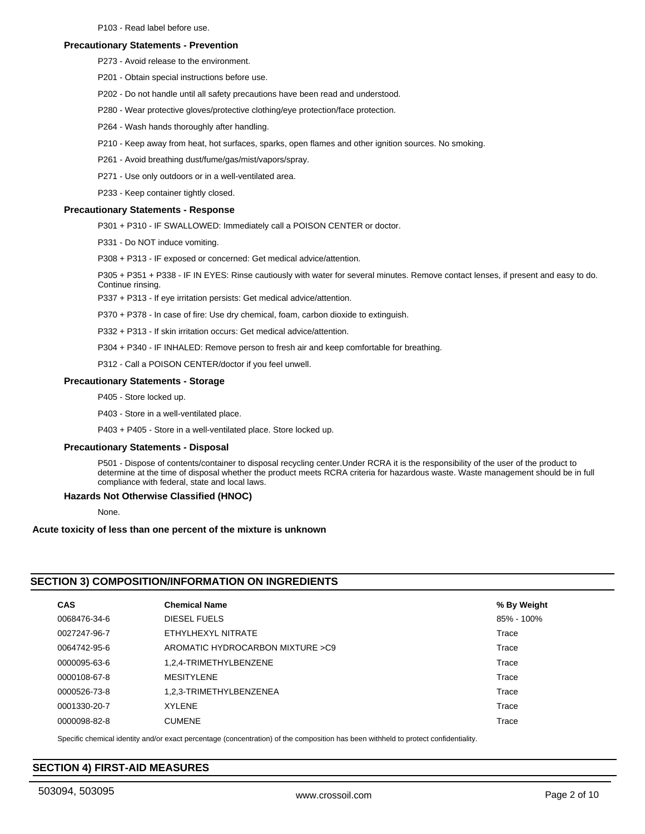## **Precautionary Statements - Prevention**

- P273 Avoid release to the environment.
- P201 Obtain special instructions before use.
- P202 Do not handle until all safety precautions have been read and understood.
- P280 Wear protective gloves/protective clothing/eye protection/face protection.
- P264 Wash hands thoroughly after handling.
- P210 Keep away from heat, hot surfaces, sparks, open flames and other ignition sources. No smoking.
- P261 Avoid breathing dust/fume/gas/mist/vapors/spray.
- P271 Use only outdoors or in a well-ventilated area.
- P233 Keep container tightly closed.

#### **Precautionary Statements - Response**

- P301 + P310 IF SWALLOWED: Immediately call a POISON CENTER or doctor.
- P331 Do NOT induce vomiting.

P308 + P313 - IF exposed or concerned: Get medical advice/attention.

P305 + P351 + P338 - IF IN EYES: Rinse cautiously with water for several minutes. Remove contact lenses, if present and easy to do. Continue rinsing.

P337 + P313 - If eye irritation persists: Get medical advice/attention.

P370 + P378 - In case of fire: Use dry chemical, foam, carbon dioxide to extinguish.

P332 + P313 - If skin irritation occurs: Get medical advice/attention.

P304 + P340 - IF INHALED: Remove person to fresh air and keep comfortable for breathing.

P312 - Call a POISON CENTER/doctor if you feel unwell.

## **Precautionary Statements - Storage**

- P405 Store locked up.
- P403 Store in a well-ventilated place.

P403 + P405 - Store in a well-ventilated place. Store locked up.

#### **Precautionary Statements - Disposal**

P501 - Dispose of contents/container to disposal recycling center.Under RCRA it is the responsibility of the user of the product to determine at the time of disposal whether the product meets RCRA criteria for hazardous waste. Waste management should be in full compliance with federal, state and local laws.

#### **Hazards Not Otherwise Classified (HNOC)**

None.

#### **Acute toxicity of less than one percent of the mixture is unknown**

# **SECTION 3) COMPOSITION/INFORMATION ON INGREDIENTS**

| <b>CAS</b>   | <b>Chemical Name</b>              | % By Weight |
|--------------|-----------------------------------|-------------|
| 0068476-34-6 | DIESEL FUELS                      | 85% - 100%  |
| 0027247-96-7 | ETHYLHEXYL NITRATE                | Trace       |
| 0064742-95-6 | AROMATIC HYDROCARBON MIXTURE > C9 | Trace       |
| 0000095-63-6 | 1,2,4-TRIMETHYLBENZENE            | Trace       |
| 0000108-67-8 | <b>MESITYLENE</b>                 | Trace       |
| 0000526-73-8 | 1.2.3-TRIMETHYLBENZENEA           | Trace       |
| 0001330-20-7 | <b>XYLENE</b>                     | Trace       |
| 0000098-82-8 | <b>CUMENE</b>                     | Trace       |

Specific chemical identity and/or exact percentage (concentration) of the composition has been withheld to protect confidentiality.

# **SECTION 4) FIRST-AID MEASURES**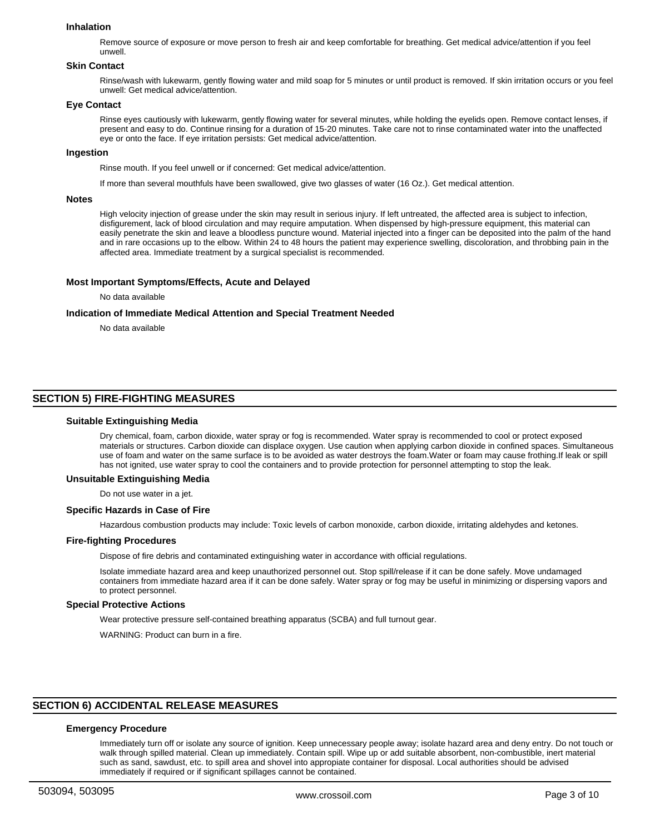#### **Inhalation**

Remove source of exposure or move person to fresh air and keep comfortable for breathing. Get medical advice/attention if you feel unwell.

#### **Skin Contact**

Rinse/wash with lukewarm, gently flowing water and mild soap for 5 minutes or until product is removed. If skin irritation occurs or you feel unwell: Get medical advice/attention.

#### **Eye Contact**

Rinse eyes cautiously with lukewarm, gently flowing water for several minutes, while holding the eyelids open. Remove contact lenses, if present and easy to do. Continue rinsing for a duration of 15-20 minutes. Take care not to rinse contaminated water into the unaffected eye or onto the face. If eye irritation persists: Get medical advice/attention.

## **Ingestion**

Rinse mouth. If you feel unwell or if concerned: Get medical advice/attention.

If more than several mouthfuls have been swallowed, give two glasses of water (16 Oz.). Get medical attention.

#### **Notes**

High velocity injection of grease under the skin may result in serious injury. If left untreated, the affected area is subject to infection, disfigurement, lack of blood circulation and may require amputation. When dispensed by high-pressure equipment, this material can easily penetrate the skin and leave a bloodless puncture wound. Material injected into a finger can be deposited into the palm of the hand and in rare occasions up to the elbow. Within 24 to 48 hours the patient may experience swelling, discoloration, and throbbing pain in the affected area. Immediate treatment by a surgical specialist is recommended.

#### **Most Important Symptoms/Effects, Acute and Delayed**

No data available

#### **Indication of Immediate Medical Attention and Special Treatment Needed**

No data available

# **SECTION 5) FIRE-FIGHTING MEASURES**

#### **Suitable Extinguishing Media**

Dry chemical, foam, carbon dioxide, water spray or fog is recommended. Water spray is recommended to cool or protect exposed materials or structures. Carbon dioxide can displace oxygen. Use caution when applying carbon dioxide in confined spaces. Simultaneous use of foam and water on the same surface is to be avoided as water destroys the foam.Water or foam may cause frothing.If leak or spill has not ignited, use water spray to cool the containers and to provide protection for personnel attempting to stop the leak.

#### **Unsuitable Extinguishing Media**

Do not use water in a jet.

#### **Specific Hazards in Case of Fire**

Hazardous combustion products may include: Toxic levels of carbon monoxide, carbon dioxide, irritating aldehydes and ketones.

#### **Fire-fighting Procedures**

Dispose of fire debris and contaminated extinguishing water in accordance with official regulations.

Isolate immediate hazard area and keep unauthorized personnel out. Stop spill/release if it can be done safely. Move undamaged containers from immediate hazard area if it can be done safely. Water spray or fog may be useful in minimizing or dispersing vapors and to protect personnel.

#### **Special Protective Actions**

Wear protective pressure self-contained breathing apparatus (SCBA) and full turnout gear.

WARNING: Product can burn in a fire.

# **SECTION 6) ACCIDENTAL RELEASE MEASURES**

## **Emergency Procedure**

Immediately turn off or isolate any source of ignition. Keep unnecessary people away; isolate hazard area and deny entry. Do not touch or walk through spilled material. Clean up immediately. Contain spill. Wipe up or add suitable absorbent, non-combustible, inert material such as sand, sawdust, etc. to spill area and shovel into appropiate container for disposal. Local authorities should be advised immediately if required or if significant spillages cannot be contained.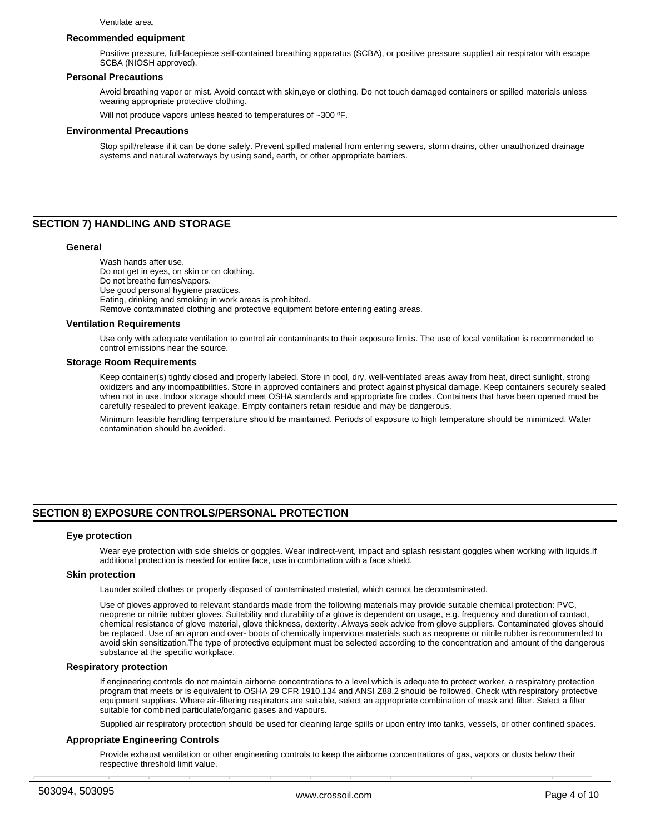#### **Recommended equipment**

Positive pressure, full-facepiece self-contained breathing apparatus (SCBA), or positive pressure supplied air respirator with escape SCBA (NIOSH approved).

#### **Personal Precautions**

Avoid breathing vapor or mist. Avoid contact with skin,eye or clothing. Do not touch damaged containers or spilled materials unless wearing appropriate protective clothing.

Will not produce vapors unless heated to temperatures of ~300 °F.

#### **Environmental Precautions**

Stop spill/release if it can be done safely. Prevent spilled material from entering sewers, storm drains, other unauthorized drainage systems and natural waterways by using sand, earth, or other appropriate barriers.

# **SECTION 7) HANDLING AND STORAGE**

#### **General**

Wash hands after use. Do not get in eyes, on skin or on clothing. Do not breathe fumes/vapors. Use good personal hygiene practices. Eating, drinking and smoking in work areas is prohibited. Remove contaminated clothing and protective equipment before entering eating areas.

#### **Ventilation Requirements**

Use only with adequate ventilation to control air contaminants to their exposure limits. The use of local ventilation is recommended to control emissions near the source.

#### **Storage Room Requirements**

Keep container(s) tightly closed and properly labeled. Store in cool, dry, well-ventilated areas away from heat, direct sunlight, strong oxidizers and any incompatibilities. Store in approved containers and protect against physical damage. Keep containers securely sealed when not in use. Indoor storage should meet OSHA standards and appropriate fire codes. Containers that have been opened must be carefully resealed to prevent leakage. Empty containers retain residue and may be dangerous.

Minimum feasible handling temperature should be maintained. Periods of exposure to high temperature should be minimized. Water contamination should be avoided.

## **SECTION 8) EXPOSURE CONTROLS/PERSONAL PROTECTION**

#### **Eye protection**

Wear eye protection with side shields or goggles. Wear indirect-vent, impact and splash resistant goggles when working with liquids.If additional protection is needed for entire face, use in combination with a face shield.

#### **Skin protection**

Launder soiled clothes or properly disposed of contaminated material, which cannot be decontaminated.

Use of gloves approved to relevant standards made from the following materials may provide suitable chemical protection: PVC, neoprene or nitrile rubber gloves. Suitability and durability of a glove is dependent on usage, e.g. frequency and duration of contact, chemical resistance of glove material, glove thickness, dexterity. Always seek advice from glove suppliers. Contaminated gloves should be replaced. Use of an apron and over- boots of chemically impervious materials such as neoprene or nitrile rubber is recommended to avoid skin sensitization.The type of protective equipment must be selected according to the concentration and amount of the dangerous substance at the specific workplace.

#### **Respiratory protection**

If engineering controls do not maintain airborne concentrations to a level which is adequate to protect worker, a respiratory protection program that meets or is equivalent to OSHA 29 CFR 1910.134 and ANSI Z88.2 should be followed. Check with respiratory protective equipment suppliers. Where air-filtering respirators are suitable, select an appropriate combination of mask and filter. Select a filter suitable for combined particulate/organic gases and vapours.

Supplied air respiratory protection should be used for cleaning large spills or upon entry into tanks, vessels, or other confined spaces.

#### **Appropriate Engineering Controls**

Provide exhaust ventilation or other engineering controls to keep the airborne concentrations of gas, vapors or dusts below their respective threshold limit value.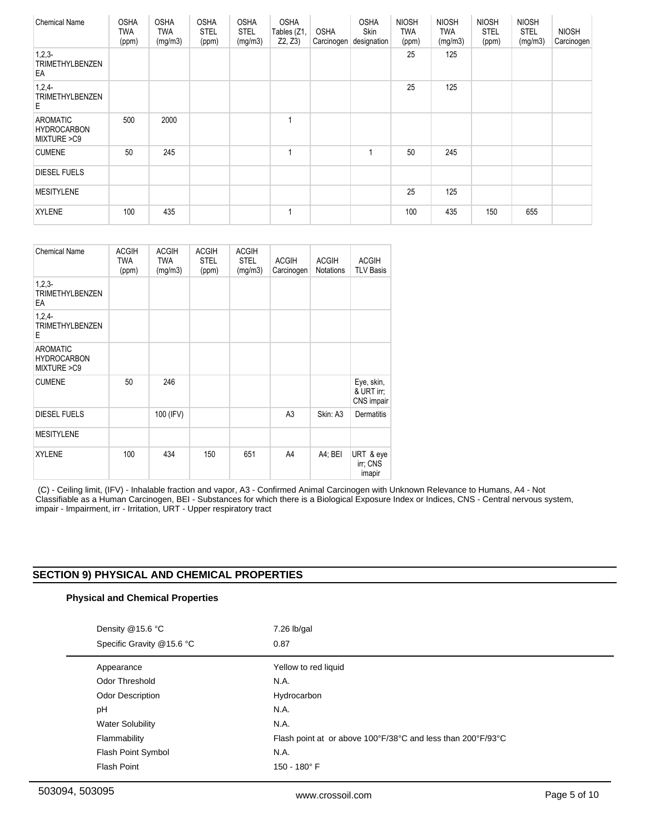| <b>Chemical Name</b>                                 | <b>OSHA</b><br><b>TWA</b><br>(ppm) | <b>OSHA</b><br><b>TWA</b><br>(mg/m3) | <b>OSHA</b><br><b>STEL</b><br>(ppm) | <b>OSHA</b><br><b>STEL</b><br>(mg/m3) | <b>OSHA</b><br>Tables (Z1,<br>Z2, Z3 | <b>OSHA</b><br>Carcinogen | <b>OSHA</b><br>Skin<br>designation | <b>NIOSH</b><br><b>TWA</b><br>(ppm) | <b>NIOSH</b><br><b>TWA</b><br>(mg/m3) | <b>NIOSH</b><br><b>STEL</b><br>(ppm) | <b>NIOSH</b><br><b>STEL</b><br>(mg/m3) | <b>NIOSH</b><br>Carcinogen |
|------------------------------------------------------|------------------------------------|--------------------------------------|-------------------------------------|---------------------------------------|--------------------------------------|---------------------------|------------------------------------|-------------------------------------|---------------------------------------|--------------------------------------|----------------------------------------|----------------------------|
| $1,2,3-$<br><b>TRIMETHYLBENZEN</b><br>EA             |                                    |                                      |                                     |                                       |                                      |                           |                                    | 25                                  | 125                                   |                                      |                                        |                            |
| 1,2,4<br><b>TRIMETHYLBENZEN</b><br>E                 |                                    |                                      |                                     |                                       |                                      |                           |                                    | 25                                  | 125                                   |                                      |                                        |                            |
| <b>AROMATIC</b><br><b>HYDROCARBON</b><br>MIXTURE >C9 | 500                                | 2000                                 |                                     |                                       | 1                                    |                           |                                    |                                     |                                       |                                      |                                        |                            |
| <b>CUMENE</b>                                        | 50                                 | 245                                  |                                     |                                       | 1                                    |                           |                                    | 50                                  | 245                                   |                                      |                                        |                            |
| <b>DIESEL FUELS</b>                                  |                                    |                                      |                                     |                                       |                                      |                           |                                    |                                     |                                       |                                      |                                        |                            |
| <b>MESITYLENE</b>                                    |                                    |                                      |                                     |                                       |                                      |                           |                                    | 25                                  | 125                                   |                                      |                                        |                            |
| <b>XYLENE</b>                                        | 100                                | 435                                  |                                     |                                       | $\mathbf{1}$                         |                           |                                    | 100                                 | 435                                   | 150                                  | 655                                    |                            |

| <b>Chemical Name</b>                                 | <b>ACGIH</b><br><b>TWA</b><br>(ppm) | <b>ACGIH</b><br><b>TWA</b><br>(mg/m3) | <b>ACGIH</b><br><b>STEL</b><br>(ppm) | <b>ACGIH</b><br><b>STEL</b><br>(mg/m3) | <b>ACGIH</b><br>Carcinogen | <b>ACGIH</b><br>Notations | <b>ACGIH</b><br><b>TLV Basis</b>       |
|------------------------------------------------------|-------------------------------------|---------------------------------------|--------------------------------------|----------------------------------------|----------------------------|---------------------------|----------------------------------------|
| $1,2,3-$<br><b>TRIMETHYLBENZEN</b><br>EA             |                                     |                                       |                                      |                                        |                            |                           |                                        |
| $1,2,4-$<br><b>TRIMETHYLBENZEN</b><br>E              |                                     |                                       |                                      |                                        |                            |                           |                                        |
| <b>AROMATIC</b><br><b>HYDROCARBON</b><br>MIXTURE >C9 |                                     |                                       |                                      |                                        |                            |                           |                                        |
| <b>CUMENE</b>                                        | 50                                  | 246                                   |                                      |                                        |                            |                           | Eye, skin,<br>& URT irr;<br>CNS impair |
| <b>DIESEL FUELS</b>                                  |                                     | 100 (IFV)                             |                                      |                                        | A <sub>3</sub>             | Skin: A3                  | <b>Dermatitis</b>                      |
| <b>MESITYLENE</b>                                    |                                     |                                       |                                      |                                        |                            |                           |                                        |
| <b>XYLENE</b>                                        | 100                                 | 434                                   | 150                                  | 651                                    | A4                         | A4; BEI                   | URT & eye<br>irr; CNS<br>imapir        |

 (C) - Ceiling limit, (IFV) - Inhalable fraction and vapor, A3 - Confirmed Animal Carcinogen with Unknown Relevance to Humans, A4 - Not Classifiable as a Human Carcinogen, BEI - Substances for which there is a Biological Exposure Index or Indices, CNS - Central nervous system, impair - Impairment, irr - Irritation, URT - Upper respiratory tract

# **SECTION 9) PHYSICAL AND CHEMICAL PROPERTIES**

# **Physical and Chemical Properties**

| Density @15.6 °C<br>Specific Gravity @15.6 °C | $7.26$ lb/gal<br>0.87                                       |
|-----------------------------------------------|-------------------------------------------------------------|
| Appearance                                    | Yellow to red liquid                                        |
| Odor Threshold                                | N.A.                                                        |
| <b>Odor Description</b>                       | Hydrocarbon                                                 |
| pH                                            | N.A.                                                        |
| <b>Water Solubility</b>                       | N.A.                                                        |
| Flammability                                  | Flash point at or above 100°F/38°C and less than 200°F/93°C |
| Flash Point Symbol                            | N.A.                                                        |
| <b>Flash Point</b>                            | 150 - 180° F                                                |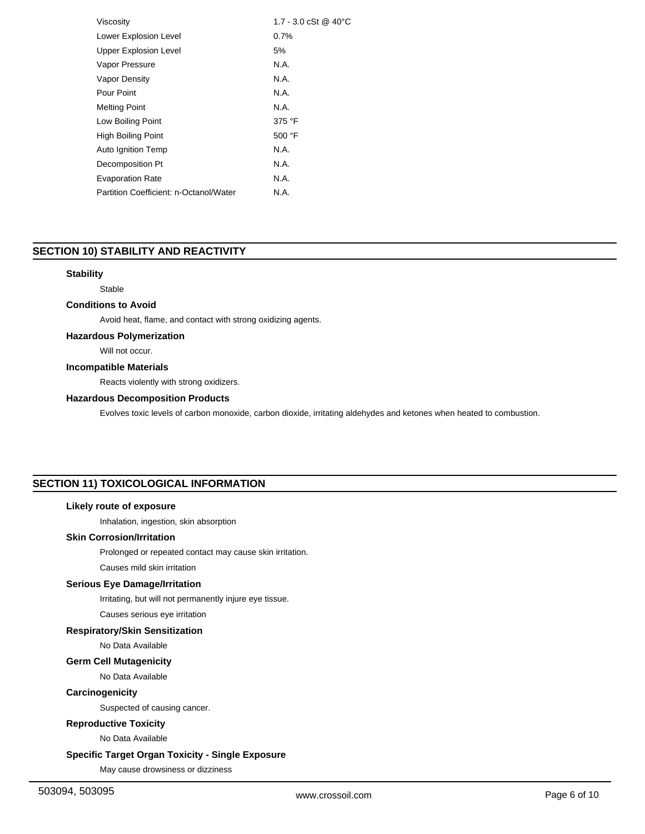| Viscosity                              | 1.7 - 3.0 cSt @ 40 °C |
|----------------------------------------|-----------------------|
| Lower Explosion Level                  | 0.7%                  |
| <b>Upper Explosion Level</b>           | 5%                    |
| Vapor Pressure                         | N.A.                  |
| <b>Vapor Density</b>                   | N.A.                  |
| Pour Point                             | N.A.                  |
| <b>Melting Point</b>                   | N.A.                  |
| Low Boiling Point                      | 375 °F                |
| High Boiling Point                     | 500 $\degree$ F       |
| Auto Ignition Temp                     | N.A.                  |
| Decomposition Pt                       | N.A.                  |
| <b>Evaporation Rate</b>                | N.A.                  |
| Partition Coefficient: n-Octanol/Water | N.A.                  |
|                                        |                       |

# **SECTION 10) STABILITY AND REACTIVITY**

## **Stability**

Stable

## **Conditions to Avoid**

Avoid heat, flame, and contact with strong oxidizing agents.

# **Hazardous Polymerization**

Will not occur.

## **Incompatible Materials**

Reacts violently with strong oxidizers.

## **Hazardous Decomposition Products**

Evolves toxic levels of carbon monoxide, carbon dioxide, irritating aldehydes and ketones when heated to combustion.

# **SECTION 11) TOXICOLOGICAL INFORMATION**

## **Likely route of exposure**

Inhalation, ingestion, skin absorption

# **Skin Corrosion/Irritation**

Prolonged or repeated contact may cause skin irritation.

Causes mild skin irritation

# **Serious Eye Damage/Irritation**

Irritating, but will not permanently injure eye tissue.

Causes serious eye irritation

# **Respiratory/Skin Sensitization**

No Data Available

## **Germ Cell Mutagenicity**

No Data Available

# **Carcinogenicity**

Suspected of causing cancer.

## **Reproductive Toxicity**

No Data Available

# **Specific Target Organ Toxicity - Single Exposure**

May cause drowsiness or dizziness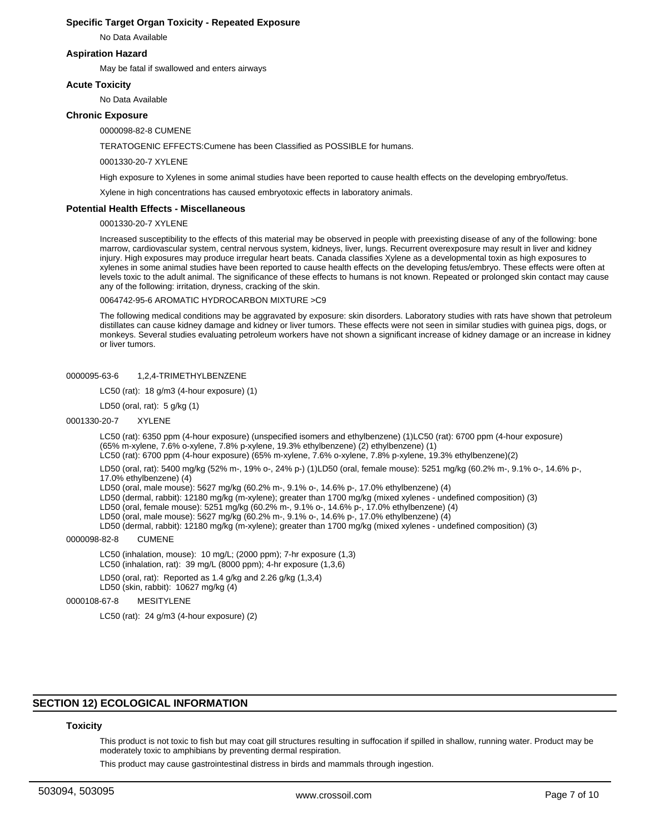## **Specific Target Organ Toxicity - Repeated Exposure**

No Data Available

## **Aspiration Hazard**

May be fatal if swallowed and enters airways

## **Acute Toxicity**

No Data Available

## **Chronic Exposure**

0000098-82-8 CUMENE

TERATOGENIC EFFECTS:Cumene has been Classified as POSSIBLE for humans.

#### 0001330-20-7 XYLENE

High exposure to Xylenes in some animal studies have been reported to cause health effects on the developing embryo/fetus.

Xylene in high concentrations has caused embryotoxic effects in laboratory animals.

#### **Potential Health Effects - Miscellaneous**

#### 0001330-20-7 XYLENE

Increased susceptibility to the effects of this material may be observed in people with preexisting disease of any of the following: bone marrow, cardiovascular system, central nervous system, kidneys, liver, lungs. Recurrent overexposure may result in liver and kidney injury. High exposures may produce irregular heart beats. Canada classifies Xylene as a developmental toxin as high exposures to xylenes in some animal studies have been reported to cause health effects on the developing fetus/embryo. These effects were often at levels toxic to the adult animal. The significance of these effects to humans is not known. Repeated or prolonged skin contact may cause any of the following: irritation, dryness, cracking of the skin.

0064742-95-6 AROMATIC HYDROCARBON MIXTURE >C9

The following medical conditions may be aggravated by exposure: skin disorders. Laboratory studies with rats have shown that petroleum distillates can cause kidney damage and kidney or liver tumors. These effects were not seen in similar studies with guinea pigs, dogs, or monkeys. Several studies evaluating petroleum workers have not shown a significant increase of kidney damage or an increase in kidney or liver tumors.

## 0000095-63-6 1,2,4-TRIMETHYLBENZENE

LC50 (rat): 18 g/m3 (4-hour exposure) (1)

LD50 (oral, rat): 5 g/kg (1)

#### 0001330-20-7 XYLENE

LC50 (rat): 6350 ppm (4-hour exposure) (unspecified isomers and ethylbenzene) (1)LC50 (rat): 6700 ppm (4-hour exposure) (65% m-xylene, 7.6% o-xylene, 7.8% p-xylene, 19.3% ethylbenzene) (2) ethylbenzene) (1) LC50 (rat): 6700 ppm (4-hour exposure) (65% m-xylene, 7.6% o-xylene, 7.8% p-xylene, 19.3% ethylbenzene)(2)

LD50 (oral, rat): 5400 mg/kg (52% m-, 19% o-, 24% p-) (1)LD50 (oral, female mouse): 5251 mg/kg (60.2% m-, 9.1% o-, 14.6% p-,

17.0% ethylbenzene) (4)

LD50 (oral, male mouse): 5627 mg/kg (60.2% m-, 9.1% o-, 14.6% p-, 17.0% ethylbenzene) (4)

LD50 (dermal, rabbit): 12180 mg/kg (m-xylene); greater than 1700 mg/kg (mixed xylenes - undefined composition) (3)

LD50 (oral, female mouse): 5251 mg/kg (60.2% m-, 9.1% o-, 14.6% p-, 17.0% ethylbenzene) (4)

LD50 (oral, male mouse): 5627 mg/kg (60.2% m-, 9.1% o-, 14.6% p-, 17.0% ethylbenzene) (4)

LD50 (dermal, rabbit): 12180 mg/kg (m-xylene); greater than 1700 mg/kg (mixed xylenes - undefined composition) (3)

#### 0000098-82-8 CUMENE

LC50 (inhalation, mouse): 10 mg/L; (2000 ppm); 7-hr exposure (1,3)

- LC50 (inhalation, rat): 39 mg/L (8000 ppm); 4-hr exposure (1,3,6)
- LD50 (oral, rat): Reported as 1.4 g/kg and 2.26 g/kg (1,3,4)
- LD50 (skin, rabbit): 10627 mg/kg (4)

## 0000108-67-8 MESITYLENE

LC50 (rat): 24 g/m3 (4-hour exposure) (2)

## **SECTION 12) ECOLOGICAL INFORMATION**

#### **Toxicity**

This product is not toxic to fish but may coat gill structures resulting in suffocation if spilled in shallow, running water. Product may be moderately toxic to amphibians by preventing dermal respiration.

This product may cause gastrointestinal distress in birds and mammals through ingestion.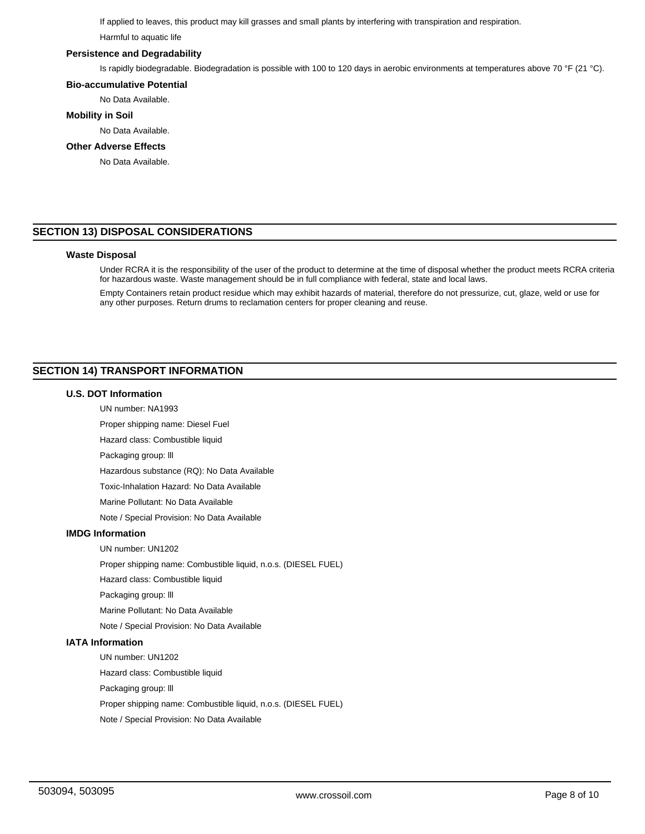If applied to leaves, this product may kill grasses and small plants by interfering with transpiration and respiration.

Harmful to aquatic life

## **Persistence and Degradability**

Is rapidly biodegradable. Biodegradation is possible with 100 to 120 days in aerobic environments at temperatures above 70 °F (21 °C).

# **Bio-accumulative Potential**

No Data Available.

## **Mobility in Soil**

No Data Available.

## **Other Adverse Effects**

No Data Available.

# **SECTION 13) DISPOSAL CONSIDERATIONS**

## **Waste Disposal**

Under RCRA it is the responsibility of the user of the product to determine at the time of disposal whether the product meets RCRA criteria for hazardous waste. Waste management should be in full compliance with federal, state and local laws.

Empty Containers retain product residue which may exhibit hazards of material, therefore do not pressurize, cut, glaze, weld or use for any other purposes. Return drums to reclamation centers for proper cleaning and reuse.

# **SECTION 14) TRANSPORT INFORMATION**

## **U.S. DOT Information**

UN number: NA1993

Proper shipping name: Diesel Fuel

Hazard class: Combustible liquid

Packaging group: lll

Hazardous substance (RQ): No Data Available

Toxic-Inhalation Hazard: No Data Available

Marine Pollutant: No Data Available

Note / Special Provision: No Data Available

# **IMDG Information**

UN number: UN1202

Proper shipping name: Combustible liquid, n.o.s. (DIESEL FUEL)

Hazard class: Combustible liquid

Packaging group: lll

Marine Pollutant: No Data Available

Note / Special Provision: No Data Available

# **IATA Information**

UN number: UN1202

Hazard class: Combustible liquid

Packaging group: lll

Proper shipping name: Combustible liquid, n.o.s. (DIESEL FUEL)

Note / Special Provision: No Data Available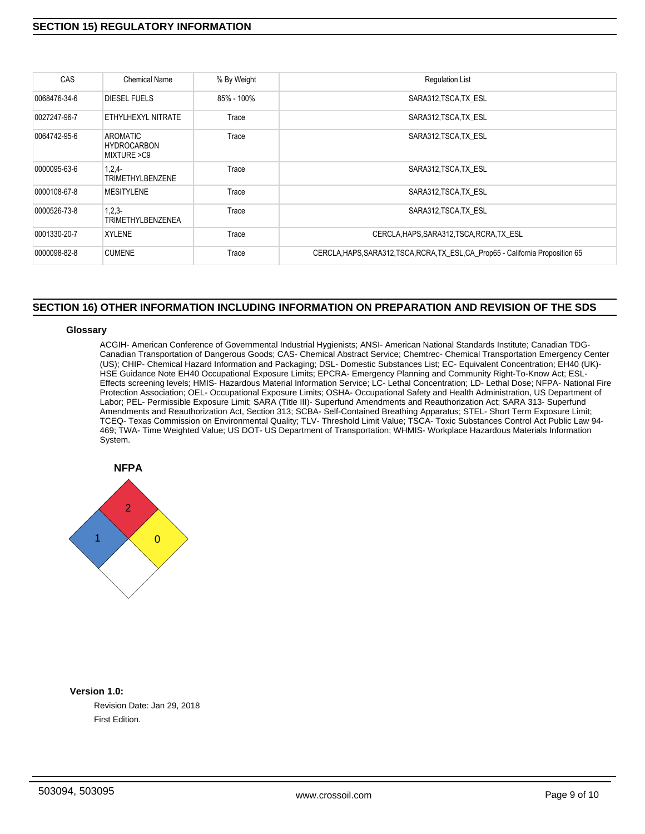# **SECTION 15) REGULATORY INFORMATION**

| CAS          | Chemical Name                                 | % By Weight | <b>Regulation List</b>                                                           |
|--------------|-----------------------------------------------|-------------|----------------------------------------------------------------------------------|
| 0068476-34-6 | DIESEL FUELS                                  | 85% - 100%  | SARA312, TSCA, TX ESL                                                            |
| 0027247-96-7 | ETHYLHEXYL NITRATE                            | Trace       | SARA312, TSCA, TX ESL                                                            |
| 0064742-95-6 | AROMATIC<br><b>HYDROCARBON</b><br>MIXTURE >C9 | Trace       | SARA312, TSCA, TX ESL                                                            |
| 0000095-63-6 | $1,2,4-$<br>TRIMETHYLBENZENE                  | Trace       | SARA312, TSCA, TX ESL                                                            |
| 0000108-67-8 | <b>MESITYLENE</b>                             | Trace       | SARA312, TSCA, TX ESL                                                            |
| 0000526-73-8 | $1,2,3-$<br><b>TRIMETHYLBENZENEA</b>          | Trace       | SARA312, TSCA, TX ESL                                                            |
| 0001330-20-7 | <b>XYLENE</b>                                 | Trace       | CERCLA, HAPS, SARA312, TSCA, RCRA, TX ESL                                        |
| 0000098-82-8 | <b>CUMENE</b>                                 | Trace       | CERCLA, HAPS, SARA312, TSCA, RCRA, TX ESL, CA Prop65 - California Proposition 65 |

# **SECTION 16) OTHER INFORMATION INCLUDING INFORMATION ON PREPARATION AND REVISION OF THE SDS**

## **Glossary**

ACGIH- American Conference of Governmental Industrial Hygienists; ANSI- American National Standards Institute; Canadian TDG-Canadian Transportation of Dangerous Goods; CAS- Chemical Abstract Service; Chemtrec- Chemical Transportation Emergency Center (US); CHIP- Chemical Hazard Information and Packaging; DSL- Domestic Substances List; EC- Equivalent Concentration; EH40 (UK)- HSE Guidance Note EH40 Occupational Exposure Limits; EPCRA- Emergency Planning and Community Right-To-Know Act; ESL-Effects screening levels; HMIS- Hazardous Material Information Service; LC- Lethal Concentration; LD- Lethal Dose; NFPA- National Fire Protection Association; OEL- Occupational Exposure Limits; OSHA- Occupational Safety and Health Administration, US Department of Labor; PEL- Permissible Exposure Limit; SARA (Title III)- Superfund Amendments and Reauthorization Act; SARA 313- Superfund Amendments and Reauthorization Act, Section 313; SCBA- Self-Contained Breathing Apparatus; STEL- Short Term Exposure Limit; TCEQ- Texas Commission on Environmental Quality; TLV- Threshold Limit Value; TSCA- Toxic Substances Control Act Public Law 94- 469; TWA- Time Weighted Value; US DOT- US Department of Transportation; WHMIS- Workplace Hazardous Materials Information System.



# **Version 1.0:**

Revision Date: Jan 29, 2018 First Edition.